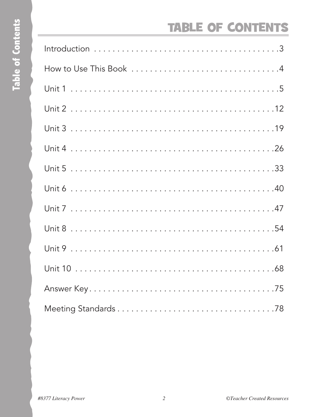# **TABLE OF CONTENTS**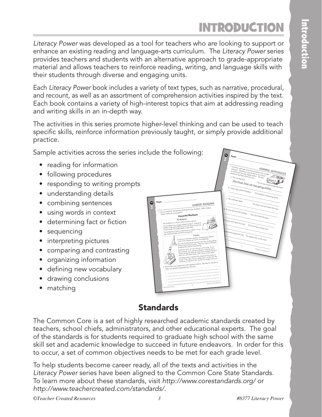### INTRODUCTION

**Name:** 

1. Combine each pair of sentences below into a single<br>to make sure you our new sentences below into a single<br>sentence has Lou are hannumente to a single sentence. Pear pair of sentences below into a sentence to a friend of the sentence of a friend of the sentence to a friend of the sentence of  $\frac{1}{n}$  and  $\frac{1}{n}$  and  $\frac{1}{n}$  and  $\frac{1}{n}$  and  $\frac{1}{n}$  and  $\frac{1}{n}$  to make sure your new sences below into<br>ientence has you are happy with it. The firer<br>a. The car with the form your it. The first sentence has been done fr<sup>ow sente<br>a. The car w.</sup> a. The car was  $_{blue}$ 

The small, blue car was small, since the car was small. b. I saw a big, yellow buildozer. The buildozer was going slowly

A crane was near the building. The crane lifted the pipe.

JOINING SENTENCES

The car was small and going slowly.

oad.

The dump truck went down the r

**Unit 2**

c. The road was dusty.

*Literacy Power* was developed as a tool for teachers who are looking to support or enhance an existing reading and language-arts curriculum. The *Literacy Power* series provides teachers and students with an alternative approach to grade-appropriate material and allows teachers to reinforce reading, writing, and language skills with their students through diverse and engaging units.

Each *Literacy Power* book includes a variety of text types, such as narrative, procedural, and recount, as well as an assortment of comprehension activities inspired by the text. Each book contains a variety of high-interest topics that aim at addressing reading and writing skills in an in-depth way.

The activities in this series promote higher-level thinking and can be used to teach specific skills, reinforce information previously taught, or simply provide additional practice.

Sample activities across the series include the following:

- reading for information
- following procedures
- responding to writing prompts
- understanding details
- combining sentences
- using words in context
- determining fact or fiction
- sequencing
- interpreting pictures
- • comparing and contrasting
- • organizing information
- defining new vocabulary
- drawing conclusions
- matching



#### **Standards**

The Common Core is a set of highly researched academic standards created by teachers, school chiefs, administrators, and other educational experts. The goal of the standards is for students required to graduate high school with the same skill set and academic knowledge to succeed in future endeavors. In order for this to occur, a set of common objectives needs to be met for each grade level.

To help students become career ready, all of the texts and activities in the *Literacy Power* series have been aligned to the Common Core State Standards. To learn more about these standards, visit *http://www.corestandards.org/* or *http://www.teachercreated.com/standards/.*

*©Teacher Created Resources 3 #8377 Literacy Power*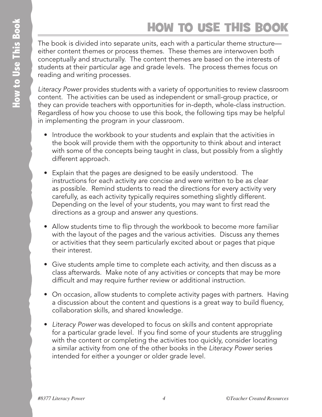### How to Use This Book

The book is divided into separate units, each with a particular theme structure either content themes or process themes. These themes are interwoven both conceptually and structurally. The content themes are based on the interests of students at their particular age and grade levels. The process themes focus on reading and writing processes.

*Literacy Power* provides students with a variety of opportunities to review classroom content. The activities can be used as independent or small-group practice, or they can provide teachers with opportunities for in-depth, whole-class instruction. Regardless of how you choose to use this book, the following tips may be helpful in implementing the program in your classroom.

- Introduce the workbook to your students and explain that the activities in the book will provide them with the opportunity to think about and interact with some of the concepts being taught in class, but possibly from a slightly different approach.
- • Explain that the pages are designed to be easily understood. The instructions for each activity are concise and were written to be as clear as possible. Remind students to read the directions for every activity very carefully, as each activity typically requires something slightly different. Depending on the level of your students, you may want to first read the directions as a group and answer any questions.
- Allow students time to flip through the workbook to become more familiar with the layout of the pages and the various activities. Discuss any themes or activities that they seem particularly excited about or pages that pique their interest.
- Give students ample time to complete each activity, and then discuss as a class afterwards. Make note of any activities or concepts that may be more difficult and may require further review or additional instruction.
- On occasion, allow students to complete activity pages with partners. Having a discussion about the content and questions is a great way to build fluency, collaboration skills, and shared knowledge.
- *Literacy Power* was developed to focus on skills and content appropriate for a particular grade level. If you find some of your students are struggling with the content or completing the activities too quickly, consider locating a similar activity from one of the other books in the *Literacy Power* series intended for either a younger or older grade level.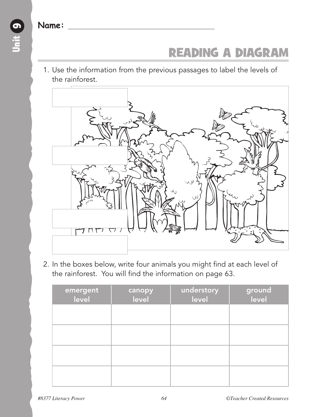**Name:** 

# READING A DIAGRAM

1. Use the information from the previous passages to label the levels of the rainforest.



2. In the boxes below, write four animals you might find at each level of the rainforest. You will find the information on page 63.

| emergent<br>level | canopy<br>level | understory<br>level | ground<br>level |  |  |  |  |
|-------------------|-----------------|---------------------|-----------------|--|--|--|--|
|                   |                 |                     |                 |  |  |  |  |
|                   |                 |                     |                 |  |  |  |  |
|                   |                 |                     |                 |  |  |  |  |
|                   |                 |                     |                 |  |  |  |  |

**Unit 9**